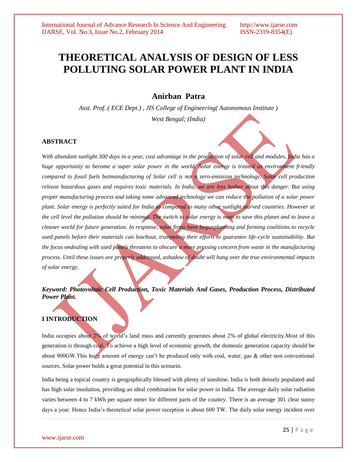# **THEORETICAL ANALYSIS OF DESIGN OF LESS POLLUTING SOLAR POWER PLANT IN INDIA**

# **Anirban Patra**

*Asst. Prof. ( ECE Dept.) , JIS College of Engineering( Autonomous Institute )*

*West Bengal; (India)*

# **ABSTRACT**

*With abundant sunlight 300 days in a year, cost advantage in the production of solar cell and modules, India has a huge opportunity to become a super solar power in the world. Solar energy is treated as environment friendly compared to fossil fuels butmanufacturing of Solar cell is not a zero-emission technology. Solar cell production release hazardous gases and requires toxic materials. In India, we are less bother about this danger. But using proper manufacturing process and taking some advanced technology we can reduce the pollution of a solar power plant. Solar energy is perfectly suited for India as compared to many other sunlight starved countries. However at the cell level the pollution should be minimal. The switch to solar energy is must to save this planet and to leave a cleaner world for future generation. In response, solar firms have begunplanning and forming coalitions to recycle used panels before their materials can leachout, trumpeting their efforts to guarantee life-cycle sustainability. But the focus ondealing with used panels threatens to obscure a more pressing concern from waste in the manufacturing process. Until these issues are properly addressed, ashadow of doubt will hang over the true environmental impacts of solar energy.*

*Keyword: Photovoltaic Cell Production, Toxic Materials And Gases, Production Process, Distributed Power Plant.*

# **I INTRODUCTION**

India occupies about 2% of world's land mass and currently generates about 2% of global electricity.Most of this generation is through coal. To achieve a high level of economic growth, the domestic generation capacity should be about 900GW.This huge amount of energy can't be produced only with coal, water, gas & other non conventional sources. Solar power holds a great potential in this scenario.

India being a topical country is geographically blessed with plenty of sunshine. India is both densely populated and has high solar insolation, providing an ideal combination for solar power in India. The average daily solar radiation varies between 4 to 7 kWh per square meter for different parts of the country. There is an average 301 clear sunny days a year. Hence India's theoretical solar power reception is about 600 TW. The daily solar energy incident over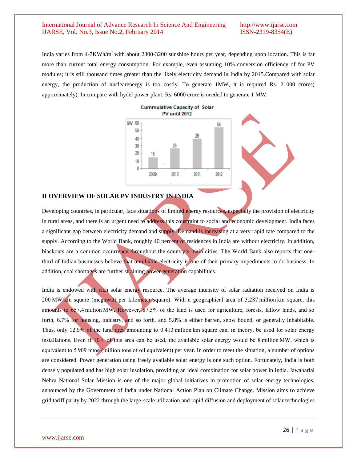India varies from 4-7KWh/m<sup>2</sup> with about 2300-3200 sunshine hours per year, depending upon location. This is far more than current total energy consumption. For example, even assuming 10% conversion efficiency of for PV modules; it is still thousand times greater than the likely electricity demand in India by 2015.Compared with solar energy, the production of nuclearenergy is too costly. To generate 1MW, it is required Rs. 21000 crores( approximately). In compare with hydel power plant, Rs. 6000 crore is needed to generate 1 MW.



# **II OVERVIEW OF SOLAR PV INDUSTRY IN INDIA**

Developing countries, in particular, face situations of limited energy resources, especially the provision of electricity in rural areas, and there is an urgent need to address this constraint to social and economic development. India faces a significant gap between electricity demand and supply. Demand is increasing at a very rapid rate compared to the supply. According to the World Bank, roughly 40 percent of residences in India are without electricity. In addition, blackouts are a common occurrence throughout the country's main cities. The World Bank also reports that onethird of Indian businesses believe that unreliable electricity is one of their primary impediments to do business. In addition, coal shortages are further straining power generation capabilities.

India is endowed with rich solar energy resource. The average intensity of solar radiation received on India is 200 MW/km square (megawatt per kilometer square). With a geographical area of 3.287 million km square, this amounts to 657.4 million MW. However, 87.5% of the land is used for agriculture, forests, fallow lands, and so forth, 6.7% for housing, industry, and so forth, and 5.8% is either barren, snow bound, or generally inhabitable. Thus, only 12.5% of the land area amounting to 0.413 million km square can, in theory, be used for solar energy installations. Even if 10% of this area can be used, the available solar energy would be 8 million MW, which is equivalent to 5 909 mtoe (million tons of oil equivalent) per year. In order to meet the situation, a number of options are considered. Power generation using freely available solar energy is one such option. Fortunately, India is both densely populated and has high solar insolation, providing an ideal combination for solar power in India. Jawaharlal Nehru National Solar Mission is one of the major global initiatives in promotion of solar energy technologies, announced by the Government of India under National Action Plan on Climate Change. Mission aims to achieve grid tariff parity by 2022 through the large-scale utilization and rapid diffusion and deployment of solar technologies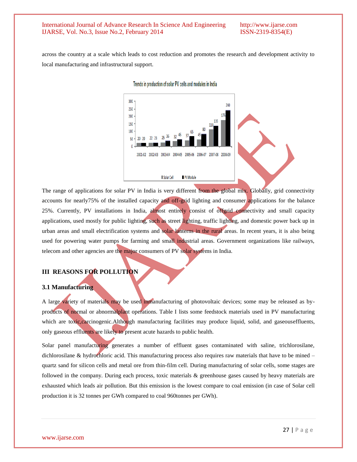across the country at a scale which leads to cost reduction and promotes the research and development activity to local manufacturing and infrastructural support.



#### Trends in production of solar PV cells and modules in India

The range of applications for solar PV in India is very different from the global mix. Globally, grid connectivity accounts for nearly75% of the installed capacity and off-grid lighting and consumer applications for the balance 25%. Currently, PV installations in India, almost entirely consist of offgrid connectivity and small capacity applications, used mostly for public lighting, such as street lighting, traffic lighting, and domestic power back up in urban areas and small electrification systems and solar lanterns in the rural areas. In recent years, it is also being used for powering water pumps for farming and small industrial areas. Government organizations like railways, telecom and other agencies are the major consumers of PV solar systems in India.

# **III REASONS FOR POLLUTION**

### **3.1 Manufacturing**

A large variety of materials may be used inmanufacturing of photovoltaic devices; some may be released as byproducts of normal or abnormalplant operations. Table I lists some feedstock materials used in PV manufacturing which are toxic,carcinogenic.Although manufacturing facilities may produce liquid, solid, and gaseouseffluents, only gaseous effluents are likely to present acute hazards to public health.

Solar panel manufacturing generates a number of effluent gases contaminated with saline, trichlorosilane, dichlorosilane & hydrochloric acid. This manufacturing process also requires raw materials that have to be mined – quartz sand for silicon cells and metal ore from thin-film cell. During manufacturing of solar cells, some stages are followed in the company. During each process, toxic materials & greenhouse gases caused by heavy materials are exhausted which leads air pollution. But this emission is the lowest compare to coal emission (in case of Solar cell production it is 32 tonnes per GWh compared to coal 960tonnes per GWh).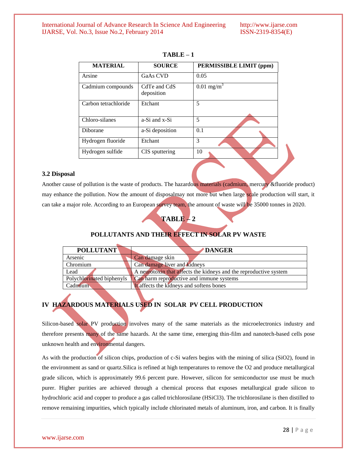| <b>MATERIAL</b>      | <b>SOURCE</b>              | PERMISSIBLE LIMIT (ppm) |
|----------------------|----------------------------|-------------------------|
| Arsine               | GaAs CVD                   | 0.05                    |
| Cadmium compounds    | CdTe and CdS<br>deposition | $0.01 \text{ mg/m}^3$   |
| Carbon tetrachloride | Etchant                    | 5                       |
| Chloro-silanes       | a-Si and x-Si              | 5                       |
| Diborane             | a-Si deposition            | 0.1                     |
| Hydrogen fluoride    | Etchant                    | 3                       |
| Hydrogen sulfide     | CIS sputtering             | 10                      |

## **3.2 Disposal**

Another cause of pollution is the waste of products. The hazardous materials (cadmium, mercury &fluoride product) may enhance the pollution. Now the amount of disposalmay not more but when large scale production will start, it can take a major role. According to an European survey team, the amount of waste will be 35000 tonnes in 2020.

# **TABLE – 2**

# **POLLUTANTS AND THEIR EFFECT IN SOLAR PV WASTE**

| <b>POLLUTANT</b>          | <b>DANGER</b>                                                     |  |
|---------------------------|-------------------------------------------------------------------|--|
| Arsenic                   | Can damage skin                                                   |  |
| Chromium                  | Can damage liver and kidneys                                      |  |
| Lead                      | A neurotoxin that affects the kidneys and the reproductive system |  |
| Polychlorinated biphenyls | <b>Can</b> harm reproductive and immune systems                   |  |
| $C$ admium                | It affects the kidneys and softens bones                          |  |

# **IV HAZARDOUS MATERIALS USED IN SOLAR PV CELL PRODUCTION**

Silicon-based solar PV production involves many of the same materials as the microelectronics industry and therefore presents many of the same hazards. At the same time, emerging thin-film and nanotech-based cells pose unknown health and environmental dangers.

As with the production of silicon chips, production of c-Si wafers begins with the mining of silica (SiO2), found in the environment as sand or quartz.Silica is refined at high temperatures to remove the O2 and produce metallurgical grade silicon, which is approximately 99.6 percent pure. However, silicon for semiconductor use must be much purer. Higher purities are achieved through a chemical process that exposes metallurgical grade silicon to hydrochloric acid and copper to produce a gas called trichlorosilane (HSiCl3). The trichlorosilane is then distilled to remove remaining impurities, which typically include chlorinated metals of aluminum, iron, and carbon. It is finally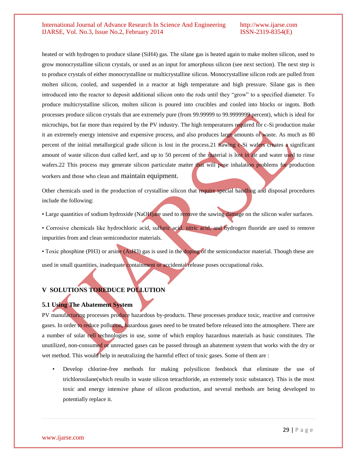heated or with hydrogen to produce silane (SiH4) gas. The silane gas is heated again to make molten silicon, used to grow monocrystalline silicon crystals, or used as an input for amorphous silicon (see next section). The next step is to produce crystals of either monocrystalline or multicrystalline silicon. Monocrystalline silicon rods are pulled from molten silicon, cooled, and suspended in a reactor at high temperature and high pressure. Silane gas is then introduced into the reactor to deposit additional silicon onto the rods until they "grow" to a specified diameter. To produce multicrystalline silicon, molten silicon is poured into crucibles and cooled into blocks or ingots. Both processes produce silicon crystals that are extremely pure (from 99.99999 to 99.9999999 percent), which is ideal for microchips, but far more than required by the PV industry. The high temperatures required for c-Si production make it an extremely energy intensive and expensive process, and also produces large amounts of waste. As much as 80 percent of the initial metallurgical grade silicon is lost in the process.21 Sawing c-Si wafers creates a significant amount of waste silicon dust called kerf, and up to 50 percent of the material is lost in air and water used to rinse wafers.22 This process may generate silicon particulate matter that will pose inhalation problems for production workers and those who clean and maintain equipment.

Other chemicals used in the production of crystalline silicon that require special handling and disposal procedures include the following:

• Large quantities of sodium hydroxide (NaOH)are used to remove the sawing damage on the silicon wafer surfaces.

• Corrosive chemicals like hydrochloric acid, sulfuric acid, nitric acid, and hydrogen fluoride are used to remove impurities from and clean semiconductor materials.

• Toxic phosphine (PH3) or arsine (AsH3) gas is used in the doping of the semiconductor material. Though these are used in small quantities, inadequate containment or accidental release poses occupational risks.

# **V SOLUTIONS TOREDUCE POLLUTION**

# **5.1 Using The Abatement System**

PV manufacturing processes produce hazardous by-products. These processes produce toxic, reactive and corrosive gases. In order to reduce pollution, hazardous gases need to be treated before released into the atmosphere. There are a number of solar cell technologies in use, some of which employ hazardous materials as basic constitutes. The unutilized, non-consumed or unreacted gases can be passed through an abatement system that works with the dry or wet method. This would help in neutralizing the harmful effect of toxic gases. Some of them are :

• Develop chlorine-free methods for making polysilicon feedstock that eliminate the use of trichlorosilane(which results in waste silicon tetrachloride, an extremely toxic substance). This is the most toxic and energy intensive phase of silicon production, and several methods are being developed to potentially replace it.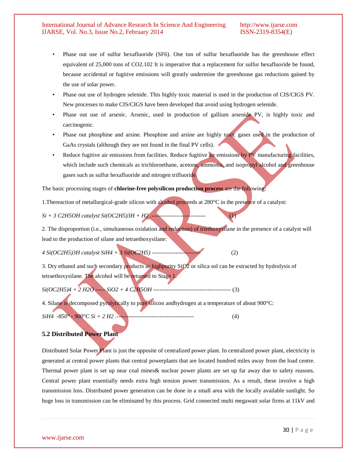- Phase out use of sulfur hexafluoride (SF6). One ton of sulfur hexafluoride has the greenhouse effect equivalent of 25,000 tons of CO2.102 It is imperative that a replacement for sulfur hexafluoride be found, because accidental or fugitive emissions will greatly undermine the greenhouse gas reductions gained by the use of solar power.
- Phase out use of hydrogen selenide. This highly toxic material is used in the production of CIS/CIGS PV. New processes to make CIS/CIGS have been developed that avoid using hydrogen selenide.
- Phase out use of arsenic. Arsenic, used in production of gallium arsenide PV, is highly toxic and carcinogenic.
- Phase out phosphine and arsine. Phosphine and arsine are highly toxic gases used in the production of GaAs crystals (although they are not found in the final PV cells).
- Reduce fugitive air emissions from facilities. Reduce fugitive air emissions by PV manufacturing facilities, which include such chemicals as trichloroethane, acetone, ammonia, and isopropyl alcohol and greenhouse gases such as sulfur hexafluoride and nitrogen trifluoride.

The basic processing stages of **chlorine-free polysilicon production process** are the following:

1.Thereaction of metallurgical-grade silicon with alcohol proceeds at 280°C in the presence of a catalyst:

# *Si + 3 C2H5OH catalyst Si(OC2H5)3H + H2 .----------------------------* (1)

2. The disproportion (i.e., simultaneous oxidation and reduction) of triethoxysilane in the presence of a catalyst will lead to the production of silane and tetraethoxysilane:

*4 Si(OC2H5)3H catalyst SiH4 + 3 Si(OC2H5) -------------------------* (2)

3. Dry ethanol and such secondary products as highpurity SiO2 or silica sol can be extracted by hydrolysis of tetraethoxysilane. The alcohol will be returned to Stage 1.

*Si(OC2H5)4 + 2 H2O ----- SiO2 + 4 C2H5OH ----------------------------------------* (3)

4. Silane is decomposed pyrolytically to pure silicon andhydrogen at a temperature of about 900°C:

*SiH4 -850° - 900°C Si + 2 H2 .----------------------------------------* (4)

# **5.2 Distributed Power Plant**

Distributed Solar Power Plant is just the opposite of centralized power plant. In centralized power plant, electricity is generated at central power plants that central powerplants that are located hundred miles away from the load centre. Thermal power plant is set up near coal mines& nuclear power plants are set up far away due to safety reasons. Central power plant essentially needs extra high tension power transmission. As a result, these involve a high transmission loss. Distributed power generation can be done in a small area with the locally available sunlight. So huge loss in transmission can be eliminated by this process. Grid connected multi megawatt solar firms at 11kV and